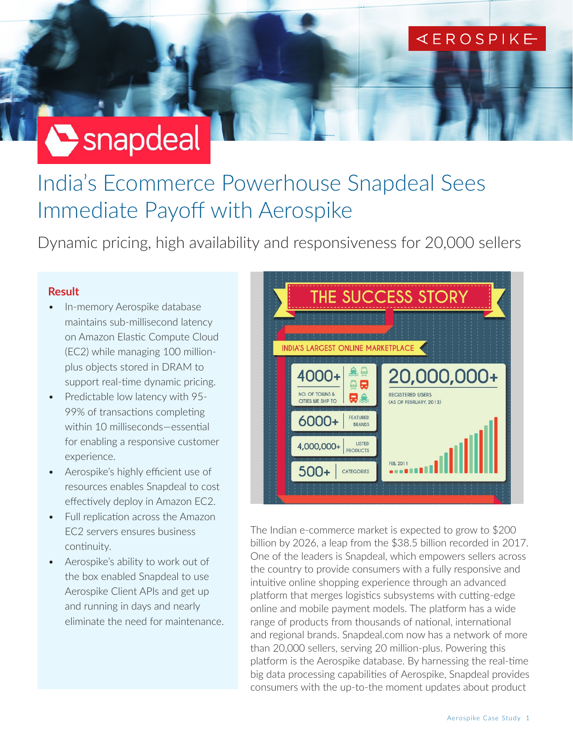### **KEROSPIKE**

# Snapdeal

## India's Ecommerce Powerhouse Snapdeal Sees Immediate Payoff with Aerospike

Dynamic pricing, high availability and responsiveness for 20,000 sellers

#### **Result**

- In-memory Aerospike database maintains sub-millisecond latency on Amazon Elastic Compute Cloud (EC2) while managing 100 millionplus objects stored in DRAM to support real-time dynamic pricing.
- Predictable low latency with 95- 99% of transactions completing within 10 milliseconds—essential for enabling a responsive customer experience.
- Aerospike's highly efficient use of resources enables Snapdeal to cost effectively deploy in Amazon EC2.
- Full replication across the Amazon EC2 servers ensures business continuity.
- Aerospike's ability to work out of the box enabled Snapdeal to use Aerospike Client APIs and get up and running in days and nearly eliminate the need for maintenance.



The Indian e-commerce market is expected to grow to \$200 billion by 2026, a leap from the \$38.5 billion recorded in 2017. One of the leaders is Snapdeal, which empowers sellers across the country to provide consumers with a fully responsive and intuitive online shopping experience through an advanced platform that merges logistics subsystems with cutting-edge online and mobile payment models. The platform has a wide range of products from thousands of national, international and regional brands. Snapdeal.com now has a network of more than 20,000 sellers, serving 20 million-plus. Powering this platform is the Aerospike database. By harnessing the real-time big data processing capabilities of Aerospike, Snapdeal provides consumers with the up-to-the moment updates about product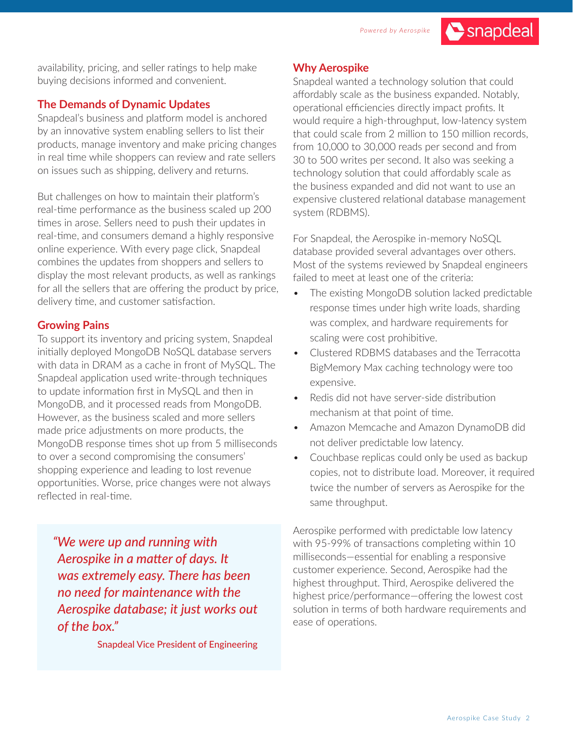

availability, pricing, and seller ratings to help make buying decisions informed and convenient.

#### **The Demands of Dynamic Updates**

Snapdeal's business and platform model is anchored by an innovative system enabling sellers to list their products, manage inventory and make pricing changes in real time while shoppers can review and rate sellers on issues such as shipping, delivery and returns.

But challenges on how to maintain their platform's real-time performance as the business scaled up 200 times in arose. Sellers need to push their updates in real-time, and consumers demand a highly responsive online experience. With every page click, Snapdeal combines the updates from shoppers and sellers to display the most relevant products, as well as rankings for all the sellers that are offering the product by price, delivery time, and customer satisfaction.

#### **Growing Pains**

To support its inventory and pricing system, Snapdeal initially deployed MongoDB NoSQL database servers with data in DRAM as a cache in front of MySQL. The Snapdeal application used write-through techniques to update information first in MySQL and then in MongoDB, and it processed reads from MongoDB. However, as the business scaled and more sellers made price adjustments on more products, the MongoDB response times shot up from 5 milliseconds to over a second compromising the consumers' shopping experience and leading to lost revenue opportunities. Worse, price changes were not always reflected in real-time.

*"We were up and running with Aerospike in a matter of days. It was extremely easy. There has been no need for maintenance with the Aerospike database; it just works out of the box."*

Snapdeal Vice President of Engineering

#### **Why Aerospike**

Snapdeal wanted a technology solution that could affordably scale as the business expanded. Notably, operational efficiencies directly impact profits. It would require a high-throughput, low-latency system that could scale from 2 million to 150 million records, from 10,000 to 30,000 reads per second and from 30 to 500 writes per second. It also was seeking a technology solution that could affordably scale as the business expanded and did not want to use an expensive clustered relational database management system (RDBMS).

For Snapdeal, the Aerospike in-memory NoSQL database provided several advantages over others. Most of the systems reviewed by Snapdeal engineers failed to meet at least one of the criteria:

- The existing MongoDB solution lacked predictable response times under high write loads, sharding was complex, and hardware requirements for scaling were cost prohibitive.
- Clustered RDBMS databases and the Terracotta BigMemory Max caching technology were too expensive.
- Redis did not have server-side distribution mechanism at that point of time.
- Amazon Memcache and Amazon DynamoDB did not deliver predictable low latency.
- Couchbase replicas could only be used as backup copies, not to distribute load. Moreover, it required twice the number of servers as Aerospike for the same throughput.

Aerospike performed with predictable low latency with 95-99% of transactions completing within 10 milliseconds—essential for enabling a responsive customer experience. Second, Aerospike had the highest throughput. Third, Aerospike delivered the highest price/performance—offering the lowest cost solution in terms of both hardware requirements and ease of operations.